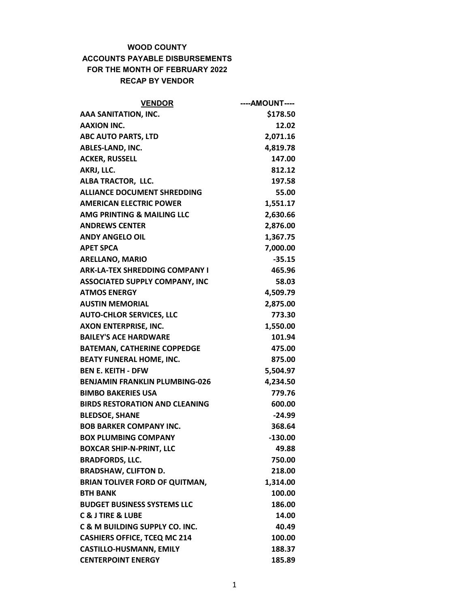## WOOD COUNTY

## ACCOUNTS PAYABLE DISBURSEMENTS FOR THE MONTH OF FEBRUARY 2022 RECAP BY VENDOR

| <b>VENDOR</b>                             | ----AMOUNT---- |
|-------------------------------------------|----------------|
| AAA SANITATION, INC.                      | \$178.50       |
| <b>AAXION INC.</b>                        | 12.02          |
| <b>ABC AUTO PARTS, LTD</b>                | 2,071.16       |
| ABLES-LAND, INC.                          | 4,819.78       |
| <b>ACKER, RUSSELL</b>                     | 147.00         |
| AKRJ, LLC.                                | 812.12         |
| ALBA TRACTOR, LLC.                        | 197.58         |
| <b>ALLIANCE DOCUMENT SHREDDING</b>        | 55.00          |
| <b>AMERICAN ELECTRIC POWER</b>            | 1,551.17       |
| AMG PRINTING & MAILING LLC                | 2,630.66       |
| <b>ANDREWS CENTER</b>                     | 2,876.00       |
| <b>ANDY ANGELO OIL</b>                    | 1,367.75       |
| <b>APET SPCA</b>                          | 7,000.00       |
| <b>ARELLANO, MARIO</b>                    | $-35.15$       |
| <b>ARK-LA-TEX SHREDDING COMPANY I</b>     | 465.96         |
| <b>ASSOCIATED SUPPLY COMPANY, INC</b>     | 58.03          |
| <b>ATMOS ENERGY</b>                       | 4,509.79       |
| <b>AUSTIN MEMORIAL</b>                    | 2,875.00       |
| <b>AUTO-CHLOR SERVICES, LLC</b>           | 773.30         |
| AXON ENTERPRISE, INC.                     | 1,550.00       |
| <b>BAILEY'S ACE HARDWARE</b>              | 101.94         |
| <b>BATEMAN, CATHERINE COPPEDGE</b>        | 475.00         |
| <b>BEATY FUNERAL HOME, INC.</b>           | 875.00         |
| <b>BEN E. KEITH - DFW</b>                 | 5,504.97       |
| <b>BENJAMIN FRANKLIN PLUMBING-026</b>     | 4,234.50       |
| <b>BIMBO BAKERIES USA</b>                 | 779.76         |
| <b>BIRDS RESTORATION AND CLEANING</b>     | 600.00         |
| <b>BLEDSOE, SHANE</b>                     | -24.99         |
| <b>BOB BARKER COMPANY INC.</b>            | 368.64         |
| <b>BOX PLUMBING COMPANY</b>               | $-130.00$      |
| <b>BOXCAR SHIP-N-PRINT, LLC</b>           | 49.88          |
| <b>BRADFORDS, LLC.</b>                    | 750.00         |
| <b>BRADSHAW, CLIFTON D.</b>               | 218.00         |
| <b>BRIAN TOLIVER FORD OF QUITMAN,</b>     | 1,314.00       |
| <b>BTH BANK</b>                           | 100.00         |
| <b>BUDGET BUSINESS SYSTEMS LLC</b>        | 186.00         |
| <b>C &amp; J TIRE &amp; LUBE</b>          | 14.00          |
| <b>C &amp; M BUILDING SUPPLY CO. INC.</b> | 40.49          |
| <b>CASHIERS OFFICE, TCEQ MC 214</b>       | 100.00         |
| <b>CASTILLO-HUSMANN, EMILY</b>            | 188.37         |
| <b>CENTERPOINT ENERGY</b>                 | 185.89         |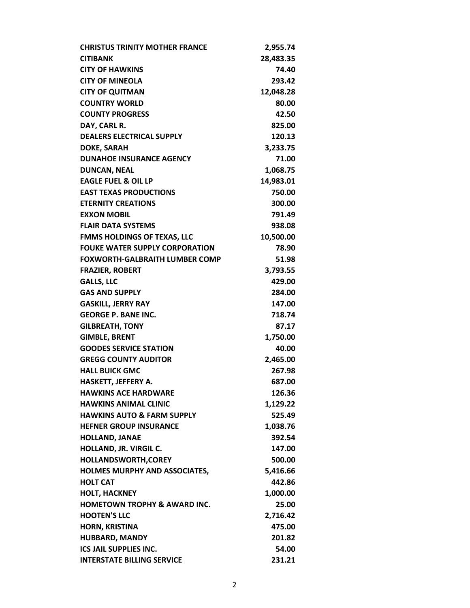| <b>CHRISTUS TRINITY MOTHER FRANCE</b>   | 2,955.74  |
|-----------------------------------------|-----------|
| <b>CITIBANK</b>                         | 28,483.35 |
| <b>CITY OF HAWKINS</b>                  | 74.40     |
| <b>CITY OF MINEOLA</b>                  | 293.42    |
| <b>CITY OF QUITMAN</b>                  | 12,048.28 |
| <b>COUNTRY WORLD</b>                    | 80.00     |
| <b>COUNTY PROGRESS</b>                  | 42.50     |
| DAY, CARL R.                            | 825.00    |
| <b>DEALERS ELECTRICAL SUPPLY</b>        | 120.13    |
| <b>DOKE, SARAH</b>                      | 3,233.75  |
| <b>DUNAHOE INSURANCE AGENCY</b>         | 71.00     |
| <b>DUNCAN, NEAL</b>                     | 1,068.75  |
| <b>EAGLE FUEL &amp; OIL LP</b>          | 14,983.01 |
| <b>EAST TEXAS PRODUCTIONS</b>           | 750.00    |
| <b>ETERNITY CREATIONS</b>               | 300.00    |
| <b>EXXON MOBIL</b>                      | 791.49    |
| <b>FLAIR DATA SYSTEMS</b>               | 938.08    |
| <b>FMMS HOLDINGS OF TEXAS, LLC</b>      | 10,500.00 |
| <b>FOUKE WATER SUPPLY CORPORATION</b>   | 78.90     |
| <b>FOXWORTH-GALBRAITH LUMBER COMP</b>   | 51.98     |
| <b>FRAZIER, ROBERT</b>                  | 3,793.55  |
| <b>GALLS, LLC</b>                       | 429.00    |
| <b>GAS AND SUPPLY</b>                   | 284.00    |
| <b>GASKILL, JERRY RAY</b>               | 147.00    |
| <b>GEORGE P. BANE INC.</b>              | 718.74    |
| <b>GILBREATH, TONY</b>                  | 87.17     |
| <b>GIMBLE, BRENT</b>                    | 1,750.00  |
| <b>GOODES SERVICE STATION</b>           | 40.00     |
| <b>GREGG COUNTY AUDITOR</b>             | 2,465.00  |
| <b>HALL BUICK GMC</b>                   | 267.98    |
| HASKETT, JEFFERY A.                     | 687.00    |
| <b>HAWKINS ACE HARDWARE</b>             | 126.36    |
| <b>HAWKINS ANIMAL CLINIC</b>            | 1,129.22  |
| <b>HAWKINS AUTO &amp; FARM SUPPLY</b>   | 525.49    |
| <b>HEFNER GROUP INSURANCE</b>           | 1,038.76  |
| <b>HOLLAND, JANAE</b>                   | 392.54    |
| HOLLAND, JR. VIRGIL C.                  | 147.00    |
| HOLLANDSWORTH, COREY                    | 500.00    |
| <b>HOLMES MURPHY AND ASSOCIATES,</b>    | 5,416.66  |
| <b>HOLT CAT</b>                         | 442.86    |
| <b>HOLT, HACKNEY</b>                    | 1,000.00  |
| <b>HOMETOWN TROPHY &amp; AWARD INC.</b> | 25.00     |
| <b>HOOTEN'S LLC</b>                     | 2,716.42  |
| <b>HORN, KRISTINA</b>                   | 475.00    |
| <b>HUBBARD, MANDY</b>                   | 201.82    |
| <b>ICS JAIL SUPPLIES INC.</b>           | 54.00     |
| <b>INTERSTATE BILLING SERVICE</b>       | 231.21    |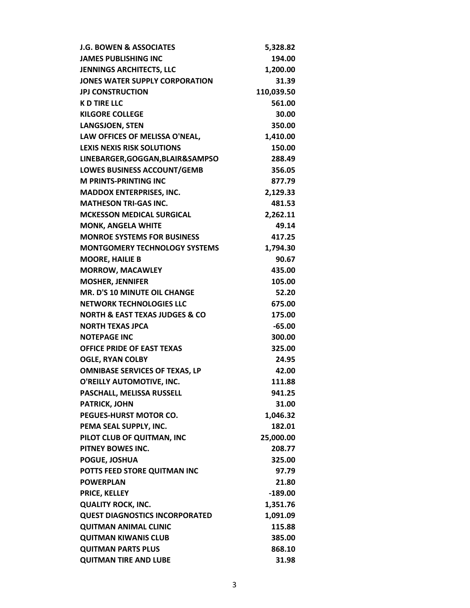| <b>J.G. BOWEN &amp; ASSOCIATES</b>            | 5,328.82   |
|-----------------------------------------------|------------|
| <b>JAMES PUBLISHING INC</b>                   | 194.00     |
| <b>JENNINGS ARCHITECTS, LLC</b>               | 1,200.00   |
| JONES WATER SUPPLY CORPORATION                | 31.39      |
| <b>JPJ CONSTRUCTION</b>                       | 110,039.50 |
| <b>KD TIRE LLC</b>                            | 561.00     |
| <b>KILGORE COLLEGE</b>                        | 30.00      |
| <b>LANGSJOEN, STEN</b>                        | 350.00     |
| LAW OFFICES OF MELISSA O'NEAL,                | 1,410.00   |
| <b>LEXIS NEXIS RISK SOLUTIONS</b>             | 150.00     |
| LINEBARGER, GOGGAN, BLAIR&SAMPSO              | 288.49     |
| LOWES BUSINESS ACCOUNT/GEMB                   | 356.05     |
| <b>M PRINTS-PRINTING INC</b>                  | 877.79     |
| <b>MADDOX ENTERPRISES, INC.</b>               | 2,129.33   |
| <b>MATHESON TRI-GAS INC.</b>                  | 481.53     |
| <b>MCKESSON MEDICAL SURGICAL</b>              | 2,262.11   |
| <b>MONK, ANGELA WHITE</b>                     | 49.14      |
| <b>MONROE SYSTEMS FOR BUSINESS</b>            | 417.25     |
| <b>MONTGOMERY TECHNOLOGY SYSTEMS</b>          | 1,794.30   |
| <b>MOORE, HAILIE B</b>                        | 90.67      |
| <b>MORROW, MACAWLEY</b>                       | 435.00     |
| <b>MOSHER, JENNIFER</b>                       | 105.00     |
| <b>MR. D'S 10 MINUTE OIL CHANGE</b>           | 52.20      |
| <b>NETWORK TECHNOLOGIES LLC</b>               | 675.00     |
| <b>NORTH &amp; EAST TEXAS JUDGES &amp; CO</b> | 175.00     |
| <b>NORTH TEXAS JPCA</b>                       | $-65.00$   |
| <b>NOTEPAGE INC</b>                           | 300.00     |
| <b>OFFICE PRIDE OF EAST TEXAS</b>             | 325.00     |
| <b>OGLE, RYAN COLBY</b>                       | 24.95      |
| <b>OMNIBASE SERVICES OF TEXAS, LP</b>         | 42.00      |
| O'REILLY AUTOMOTIVE, INC.                     | 111.88     |
| PASCHALL, MELISSA RUSSELL                     | 941.25     |
| <b>PATRICK, JOHN</b>                          | 31.00      |
| PEGUES-HURST MOTOR CO.                        | 1,046.32   |
| PEMA SEAL SUPPLY, INC.                        | 182.01     |
| PILOT CLUB OF QUITMAN, INC                    | 25,000.00  |
| PITNEY BOWES INC.                             | 208.77     |
| POGUE, JOSHUA                                 | 325.00     |
| POTTS FEED STORE QUITMAN INC                  | 97.79      |
| <b>POWERPLAN</b>                              | 21.80      |
| <b>PRICE, KELLEY</b>                          | $-189.00$  |
| <b>QUALITY ROCK, INC.</b>                     | 1,351.76   |
| <b>QUEST DIAGNOSTICS INCORPORATED</b>         | 1,091.09   |
| <b>QUITMAN ANIMAL CLINIC</b>                  | 115.88     |
| <b>QUITMAN KIWANIS CLUB</b>                   | 385.00     |
| <b>QUITMAN PARTS PLUS</b>                     | 868.10     |
| <b>QUITMAN TIRE AND LUBE</b>                  | 31.98      |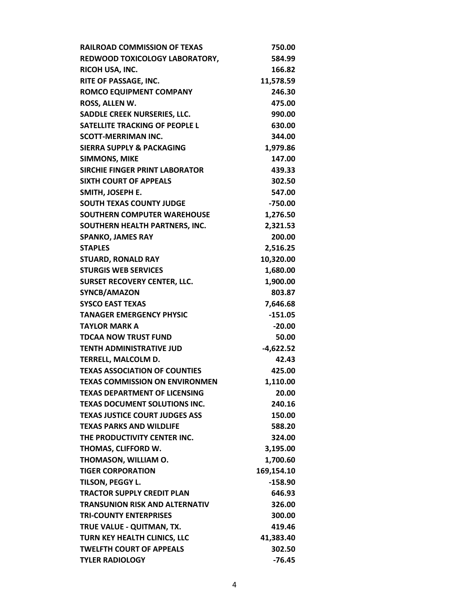| <b>RAILROAD COMMISSION OF TEXAS</b>   | 750.00      |
|---------------------------------------|-------------|
| REDWOOD TOXICOLOGY LABORATORY,        | 584.99      |
| RICOH USA, INC.                       | 166.82      |
| RITE OF PASSAGE, INC.                 | 11,578.59   |
| <b>ROMCO EQUIPMENT COMPANY</b>        | 246.30      |
| ROSS, ALLEN W.                        | 475.00      |
| <b>SADDLE CREEK NURSERIES, LLC.</b>   | 990.00      |
| <b>SATELLITE TRACKING OF PEOPLE L</b> | 630.00      |
| <b>SCOTT-MERRIMAN INC.</b>            | 344.00      |
| <b>SIERRA SUPPLY &amp; PACKAGING</b>  | 1,979.86    |
| <b>SIMMONS, MIKE</b>                  | 147.00      |
| <b>SIRCHIE FINGER PRINT LABORATOR</b> | 439.33      |
| <b>SIXTH COURT OF APPEALS</b>         | 302.50      |
| SMITH, JOSEPH E.                      | 547.00      |
| <b>SOUTH TEXAS COUNTY JUDGE</b>       | $-750.00$   |
| <b>SOUTHERN COMPUTER WAREHOUSE</b>    | 1,276.50    |
| SOUTHERN HEALTH PARTNERS, INC.        | 2,321.53    |
| <b>SPANKO, JAMES RAY</b>              | 200.00      |
| <b>STAPLES</b>                        | 2,516.25    |
| <b>STUARD, RONALD RAY</b>             | 10,320.00   |
| <b>STURGIS WEB SERVICES</b>           | 1,680.00    |
| <b>SURSET RECOVERY CENTER, LLC.</b>   | 1,900.00    |
| SYNCB/AMAZON                          | 803.87      |
| <b>SYSCO EAST TEXAS</b>               | 7,646.68    |
| <b>TANAGER EMERGENCY PHYSIC</b>       | $-151.05$   |
| <b>TAYLOR MARK A</b>                  | $-20.00$    |
| <b>TDCAA NOW TRUST FUND</b>           | 50.00       |
| <b>TENTH ADMINISTRATIVE JUD</b>       | $-4,622.52$ |
| TERRELL, MALCOLM D.                   | 42.43       |
| <b>TEXAS ASSOCIATION OF COUNTIES</b>  | 425.00      |
| <b>TEXAS COMMISSION ON ENVIRONMEN</b> | 1,110.00    |
| <b>TEXAS DEPARTMENT OF LICENSING</b>  | 20.00       |
| <b>TEXAS DOCUMENT SOLUTIONS INC.</b>  | 240.16      |
| <b>TEXAS JUSTICE COURT JUDGES ASS</b> | 150.00      |
| <b>TEXAS PARKS AND WILDLIFE</b>       | 588.20      |
| THE PRODUCTIVITY CENTER INC.          | 324.00      |
| THOMAS, CLIFFORD W.                   | 3,195.00    |
| THOMASON, WILLIAM O.                  | 1,700.60    |
| <b>TIGER CORPORATION</b>              | 169,154.10  |
| TILSON, PEGGY L.                      | $-158.90$   |
| <b>TRACTOR SUPPLY CREDIT PLAN</b>     | 646.93      |
| <b>TRANSUNION RISK AND ALTERNATIV</b> | 326.00      |
| <b>TRI-COUNTY ENTERPRISES</b>         | 300.00      |
| TRUE VALUE - QUITMAN, TX.             | 419.46      |
| TURN KEY HEALTH CLINICS, LLC          | 41,383.40   |
| <b>TWELFTH COURT OF APPEALS</b>       | 302.50      |
| <b>TYLER RADIOLOGY</b>                | $-76.45$    |